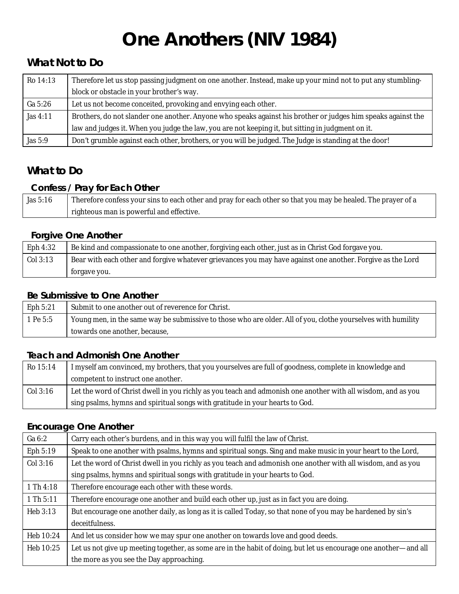# **One Anothers (NIV 1984)**

## **What Not to Do**

| $Ro$ 14:13 | Therefore let us stop passing judgment on one another. Instead, make up your mind not to put any stumbling-  |
|------------|--------------------------------------------------------------------------------------------------------------|
|            | block or obstacle in your brother's way.                                                                     |
| Ga 5:26    | Let us not become conceited, provoking and envying each other.                                               |
| Jas $4:11$ | Brothers, do not slander one another. Anyone who speaks against his brother or judges him speaks against the |
|            | law and judges it. When you judge the law, you are not keeping it, but sitting in judgment on it.            |
| Jas 5:9    | Don't grumble against each other, brothers, or you will be judged. The Judge is standing at the door!        |

# **What to Do**

#### **Confess / Pray for Each Other**

| Jas 5:16 | Therefore confess your sins to each other and pray for each other so that you may be healed. The prayer of a |
|----------|--------------------------------------------------------------------------------------------------------------|
|          | righteous man is powerful and effective.                                                                     |

#### **Forgive One Another**

| <b>Eph 4:32</b> | Be kind and compassionate to one another, forgiving each other, just as in Christ God forgave you.         |
|-----------------|------------------------------------------------------------------------------------------------------------|
| Col 3:13        | Bear with each other and forgive whatever grievances you may have against one another. Forgive as the Lord |
|                 | forgave you.                                                                                               |

#### **Be Submissive to One Another**

| <b>Eph 5:21</b> | Submit to one another out of reverence for Christ.                                                           |
|-----------------|--------------------------------------------------------------------------------------------------------------|
| 1 Pe 5:5        | Young men, in the same way be submissive to those who are older. All of you, clothe yourselves with humility |
|                 | towards one another, because,                                                                                |

#### **Teach and Admonish One Another**

| $Ro$ 15:14 | I myself am convinced, my brothers, that you yourselves are full of goodness, complete in knowledge and      |
|------------|--------------------------------------------------------------------------------------------------------------|
|            | competent to instruct one another.                                                                           |
| $Col$ 3:16 | Let the word of Christ dwell in you richly as you teach and admonish one another with all wisdom, and as you |
|            | sing psalms, hymns and spiritual songs with gratitude in your hearts to God.                                 |

#### **Encourage One Another**

| Ga 6:2           | Carry each other's burdens, and in this way you will fulfil the law of Christ.                                   |
|------------------|------------------------------------------------------------------------------------------------------------------|
| <b>Eph 5:19</b>  | Speak to one another with psalms, hymns and spiritual songs. Sing and make music in your heart to the Lord,      |
| Col 3:16         | Let the word of Christ dwell in you richly as you teach and admonish one another with all wisdom, and as you     |
|                  | sing psalms, hymns and spiritual songs with gratitude in your hearts to God.                                     |
| 1 Th 4:18        | Therefore encourage each other with these words.                                                                 |
| 1 Th 5:11        | Therefore encourage one another and build each other up, just as in fact you are doing.                          |
| <b>Heb 3:13</b>  | But encourage one another daily, as long as it is called Today, so that none of you may be hardened by sin's     |
|                  | deceitfulness.                                                                                                   |
| <b>Heb 10:24</b> | And let us consider how we may spur one another on towards love and good deeds.                                  |
| Heb 10:25        | Let us not give up meeting together, as some are in the habit of doing, but let us encourage one another—and all |
|                  | the more as you see the Day approaching.                                                                         |